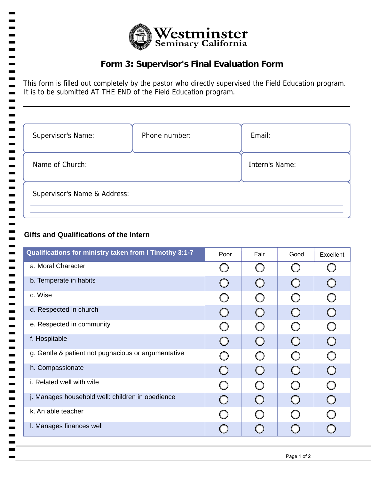

## **Form 3: Supervisor's Final Evaluation Form**

This form is filled out completely by the pastor who directly supervised the Field Education program. It is to be submitted AT THE END of the Field Education program.

| Supervisor's Name:           | Phone number: | Email:         |  |  |
|------------------------------|---------------|----------------|--|--|
| Name of Church:              |               | Intern's Name: |  |  |
| Supervisor's Name & Address: |               |                |  |  |

## **Gifts and Qualifications of the Intern**

| Qualifications for ministry taken from I Timothy 3:1-7 | Poor | Fair             | Good                                          | Excellent  |
|--------------------------------------------------------|------|------------------|-----------------------------------------------|------------|
| a. Moral Character                                     |      | $\left( \right)$ | $\left( \begin{array}{c} \end{array} \right)$ |            |
| b. Temperate in habits                                 |      | $\bigcirc$       | $\bigcirc$                                    | $\bigcirc$ |
| c. Wise                                                |      | $\bigcirc$       | $\bigcap$                                     | $\bigcirc$ |
| d. Respected in church                                 |      | $\bigcirc$       | $\bigcirc$                                    | $\bigcirc$ |
| e. Respected in community                              |      | $\bigcirc$       | $\bigcirc$                                    | $\bigcirc$ |
| f. Hospitable                                          |      | $\bigcirc$       | $\bigcirc$                                    | $\bigcirc$ |
| g. Gentle & patient not pugnacious or argumentative    |      | $\bigcirc$       | $\bigcirc$                                    | $\bigcirc$ |
| h. Compassionate                                       |      | $\bigcirc$       | $\bigcirc$                                    | $\bigcirc$ |
| i. Related well with wife                              |      | $\bigcap$        | $\bigcap$                                     | $\bigcirc$ |
| j. Manages household well: children in obedience       |      | $\bigcirc$       | $\bigcap$                                     | $\bigcirc$ |
| k. An able teacher                                     |      |                  | ◯                                             |            |
| I. Manages finances well                               |      |                  |                                               |            |